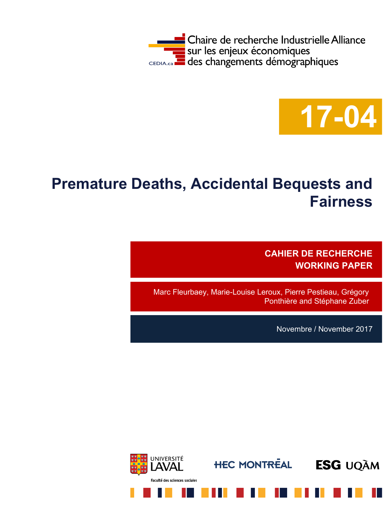



# **Premature Deaths, Accidental Bequests and Fairness**

**CAHIER DE RECHERCHE WORKING PAPER**

Marc Fleurbaey, Marie-Louise Leroux, Pierre Pestieau, Grégory Ponthière and Stéphane Zuber

Novembre / November 2017

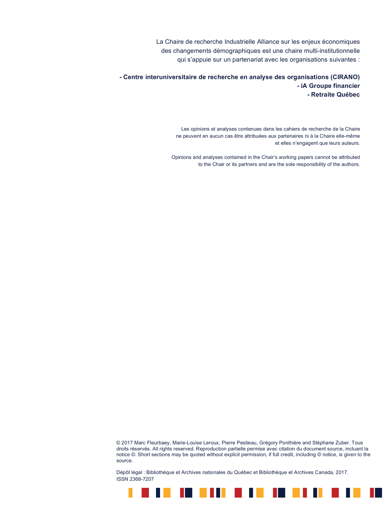La Chaire de recherche Industrielle Alliance sur les enjeux économiques des changements démographiques est une chaire multi-institutionnelle qui s'appuie sur un partenariat avec les organisations suivantes :

**- Centre interuniversitaire de recherche en analyse des organisations (CIRANO) - iA Groupe financier - Retraite Québec**

> Les opinions et analyses contenues dans les cahiers de recherche de la Chaire ne peuvent en aucun cas être attribuées aux partenaires ni à la Chaire elle-même et elles n'engagent que leurs auteurs.

Opinions and analyses contained in the Chair's working papers cannot be attributed to the Chair or its partners and are the sole responsibility of the authors.

© 2017 Marc Fleurbaey, Marie-Louise Leroux, Pierre Pestieau, Grégory Ponthière and Stéphane Zuber. Tous droits réservés. All rights reserved. Reproduction partielle permise avec citation du document source, incluant la notice ©. Short sections may be quoted without explicit permission, if full credit, including © notice, is given to the source.

Dépôt légal : Bibliothèque et Archives nationales du Québec et Bibliothèque et Archives Canada, 2017. ISSN 2368-7207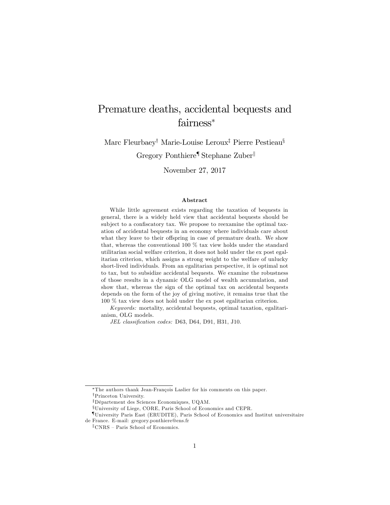## Premature deaths, accidental bequests and fairness<sup>\*</sup>

Marc Fleurbaey<sup>†</sup> Marie-Louise Leroux<sup>‡</sup> Pierre Pestieau<sup>§</sup>

Gregory Ponthiere<sup>¶</sup> Stephane Zuber

November 27, 2017

#### Abstract

While little agreement exists regarding the taxation of bequests in general, there is a widely held view that accidental bequests should be subject to a confiscatory tax. We propose to reexamine the optimal taxation of accidental bequests in an economy where individuals care about what they leave to their offspring in case of premature death. We show that, whereas the conventional 100 % tax view holds under the standard utilitarian social welfare criterion, it does not hold under the ex post egalitarian criterion, which assigns a strong weight to the welfare of unlucky short-lived individuals. From an egalitarian perspective, it is optimal not to tax, but to subsidize accidental bequests. We examine the robustness of those results in a dynamic OLG model of wealth accumulation, and show that, whereas the sign of the optimal tax on accidental bequests depends on the form of the joy of giving motive, it remains true that the 100 % tax view does not hold under the ex post egalitarian criterion.

Keywords: mortality, accidental bequests, optimal taxation, egalitarianism, OLG models.

JEL classification codes: D63, D64, D91, H31, J10.

<sup>\*</sup>The authors thank Jean-François Laslier for his comments on this paper.

<sup>&</sup>lt;sup>†</sup>Princeton University.

 $\overline{z}$ Département des Sciences Economiques, UQAM.

xUniversity of Liege, CORE, Paris School of Economics and CEPR.

<sup>{</sup>University Paris East (ERUDITE), Paris School of Economics and Institut universitaire de France. E-mail: gregory.ponthiere@ens.fr

 $\mathbb{C}NRS$  – Paris School of Economics.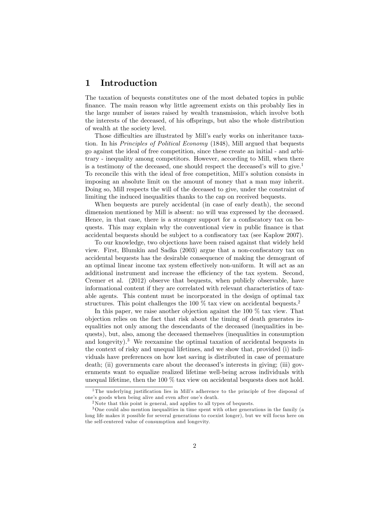### 1 Introduction

The taxation of bequests constitutes one of the most debated topics in public finance. The main reason why little agreement exists on this probably lies in the large number of issues raised by wealth transmission, which involve both the interests of the deceased, of his offsprings, but also the whole distribution of wealth at the society level.

Those difficulties are illustrated by Mill's early works on inheritance taxation. In his Principles of Political Economy (1848), Mill argued that bequests go against the ideal of free competition, since these create an initial - and arbitrary - inequality among competitors. However, according to Mill, when there is a testimony of the deceased, one should respect the deceased's will to give.<sup>1</sup> To reconcile this with the ideal of free competition, Mill's solution consists in imposing an absolute limit on the amount of money that a man may inherit. Doing so, Mill respects the will of the deceased to give, under the constraint of limiting the induced inequalities thanks to the cap on received bequests.

When bequests are purely accidental (in case of early death), the second dimension mentioned by Mill is absent: no will was expressed by the deceased. Hence, in that case, there is a stronger support for a confiscatory tax on bequests. This may explain why the conventional view in public finance is that accidental bequests should be subject to a confiscatory tax (see Kaplow 2007).

To our knowledge, two objections have been raised against that widely held view. First, Blumkin and Sadka  $(2003)$  argue that a non-confiscatory tax on accidental bequests has the desirable consequence of making the demogrant of an optimal linear income tax system effectively non-uniform. It will act as an additional instrument and increase the efficiency of the tax system. Second, Cremer et al. (2012) observe that bequests, when publicly observable, have informational content if they are correlated with relevant characteristics of taxable agents. This content must be incorporated in the design of optimal tax structures. This point challenges the 100  $\%$  tax view on accidental bequests.<sup>2</sup>

In this paper, we raise another objection against the 100 % tax view. That objection relies on the fact that risk about the timing of death generates inequalities not only among the descendants of the deceased (inequalities in bequests), but, also, among the deceased themselves (inequalities in consumption and longevity).<sup>3</sup> We reexamine the optimal taxation of accidental bequests in the context of risky and unequal lifetimes, and we show that, provided (i) individuals have preferences on how lost saving is distributed in case of premature death; (ii) governments care about the deceased's interests in giving; (iii) governments want to equalize realized lifetime well-being across individuals with unequal lifetime, then the 100 % tax view on accidental bequests does not hold.

<sup>&</sup>lt;sup>1</sup>The underlying justification lies in Mill's adherence to the principle of free disposal of one's goods when being alive and even after one's death.

<sup>&</sup>lt;sup>2</sup>Note that this point is general, and applies to all types of bequests.

<sup>&</sup>lt;sup>3</sup>One could also mention inequalities in time spent with other generations in the family (a long life makes it possible for several generations to coexist longer), but we will focus here on the self-centered value of consumption and longevity.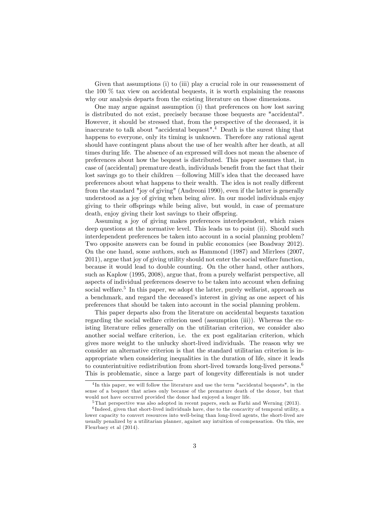Given that assumptions (i) to (iii) play a crucial role in our reassessment of the 100 % tax view on accidental bequests, it is worth explaining the reasons why our analysis departs from the existing literature on those dimensions.

One may argue against assumption (i) that preferences on how lost saving is distributed do not exist, precisely because those bequests are "accidental". However, it should be stressed that, from the perspective of the deceased, it is inaccurate to talk about "accidental bequest".<sup>4</sup> Death is the surest thing that happens to everyone, only its timing is unknown. Therefore any rational agent should have contingent plans about the use of her wealth after her death, at all times during life. The absence of an expressed will does not mean the absence of preferences about how the bequest is distributed. This paper assumes that, in case of (accidental) premature death, individuals benefit from the fact that their lost savings go to their children – following Mill's idea that the deceased have preferences about what happens to their wealth. The idea is not really different from the standard "joy of giving" (Andreoni 1990), even if the latter is generally understood as a joy of giving when being alive. In our model individuals enjoy giving to their offsprings while being alive, but would, in case of premature death, enjoy giving their lost savings to their offspring.

Assuming a joy of giving makes preferences interdependent, which raises deep questions at the normative level. This leads us to point (ii). Should such interdependent preferences be taken into account in a social planning problem? Two opposite answers can be found in public economics (see Boadway 2012). On the one hand, some authors, such as Hammond (1987) and Mirrlees (2007, 2011), argue that joy of giving utility should not enter the social welfare function, because it would lead to double counting. On the other hand, other authors, such as Kaplow (1995, 2008), argue that, from a purely welfarist perspective, all aspects of individual preferences deserve to be taken into account when defining social welfare.<sup>5</sup> In this paper, we adopt the latter, purely welfarist, approach as a benchmark, and regard the deceased's interest in giving as one aspect of his preferences that should be taken into account in the social planning problem.

This paper departs also from the literature on accidental bequests taxation regarding the social welfare criterion used (assumption (iii)). Whereas the existing literature relies generally on the utilitarian criterion, we consider also another social welfare criterion, i.e. the ex post egalitarian criterion, which gives more weight to the unlucky short-lived individuals. The reason why we consider an alternative criterion is that the standard utilitarian criterion is inappropriate when considering inequalities in the duration of life, since it leads to counterintuitive redistribution from short-lived towards long-lived persons.<sup>6</sup> This is problematic, since a large part of longevity differentials is not under

<sup>4</sup> In this paper, we will follow the literature and use the term "accidental bequests", in the sense of a bequest that arises only because of the premature death of the donor, but that would not have occurred provided the donor had enjoyed a longer life.

<sup>&</sup>lt;sup>5</sup> That perspective was also adopted in recent papers, such as Farhi and Werning (2013).

<sup>&</sup>lt;sup>6</sup>Indeed, given that short-lived individuals have, due to the concavity of temporal utility, a lower capacity to convert resources into well-being than long-lived agents, the short-lived are usually penalized by a utilitarian planner, against any intuition of compensation. On this, see Fleurbaey et al (2014).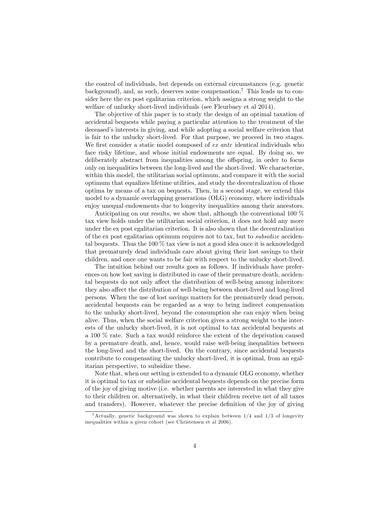the control of individuals, but depends on external circumstances (e.g. genetic background), and, as such, deserves some compensation.<sup>7</sup> This leads us to consider here the ex post egalitarian criterion, which assigns a strong weight to the welfare of unlucky short-lived individuals (see Fleurbaey et al 2014).

The objective of this paper is to study the design of an optimal taxation of accidental bequests while paying a particular attention to the treatment of the deceased's interests in giving, and while adopting a social welfare criterion that is fair to the unlucky short-lived. For that purpose, we proceed in two stages. We first consider a static model composed of  $ex$  ante identical individuals who face risky lifetime, and whose initial endowments are equal. By doing so, we deliberately abstract from inequalities among the offspring, in order to focus only on inequalities between the long-lived and the short-lived. We characterize, within this model, the utilitarian social optimum, and compare it with the social optimum that equalizes lifetime utilities, and study the decentralization of those optima by means of a tax on bequests. Then, in a second stage, we extend this model to a dynamic overlapping generations (OLG) economy, where individuals enjoy unequal endowments due to longevity inequalities among their ancestors.

Anticipating on our results, we show that, although the conventional 100 % tax view holds under the utilitarian social criterion, it does not hold any more under the ex post egalitarian criterion. It is also shown that the decentralization of the ex post egalitarian optimum requires not to tax, but to subsidize accidental bequests. Thus the 100 % tax view is not a good idea once it is acknowledged that prematurely dead individuals care about giving their lost savings to their children, and once one wants to be fair with respect to the unlucky short-lived.

The intuition behind our results goes as follows. If individuals have preferences on how lost saving is distributed in case of their premature death, accidental bequests do not only affect the distribution of well-being among inheritors: they also affect the distribution of well-being between short-lived and long-lived persons. When the use of lost savings matters for the prematurely dead person, accidental bequests can be regarded as a way to bring indirect compensation to the unlucky short-lived, beyond the consumption she can enjoy when being alive. Thus, when the social welfare criterion gives a strong weight to the interests of the unlucky short-lived, it is not optimal to tax accidental bequests at a 100 % rate. Such a tax would reinforce the extent of the deprivation caused by a premature death, and, hence, would raise well-being inequalities between the long-lived and the short-lived. On the contrary, since accidental bequests contribute to compensating the unlucky short-lived, it is optimal, from an egalitarian perspective, to subsidize these.

Note that, when our setting is extended to a dynamic OLG economy, whether it is optimal to tax or subsidize accidental bequests depends on the precise form of the joy of giving motive (i.e. whether parents are interested in what they give to their children or, alternatively, in what their children receive net of all taxes and transfers). However, whatever the precise definition of the joy of giving

<sup>&</sup>lt;sup>7</sup>Actually, genetic background was shown to explain between  $1/4$  and  $1/3$  of longevity inequalities within a given cohort (see Christensen et al 2006).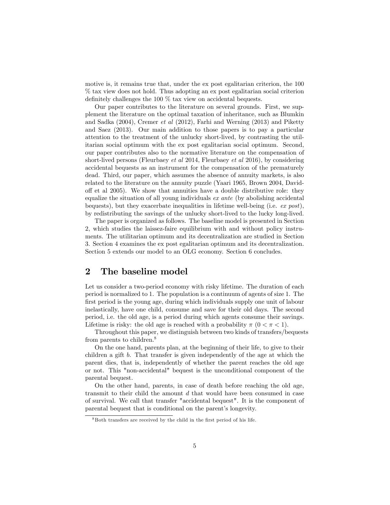motive is, it remains true that, under the ex post egalitarian criterion, the 100 % tax view does not hold. Thus adopting an ex post egalitarian social criterion definitely challenges the 100  $\%$  tax view on accidental bequests.

Our paper contributes to the literature on several grounds. First, we supplement the literature on the optimal taxation of inheritance, such as Blumkin and Sadka (2004), Cremer et al (2012), Farhi and Werning (2013) and Piketty and Saez (2013). Our main addition to those papers is to pay a particular attention to the treatment of the unlucky short-lived, by contrasting the utilitarian social optimum with the ex post egalitarian social optimum. Second, our paper contributes also to the normative literature on the compensation of short-lived persons (Fleurbaey et al 2014, Fleurbaey et al 2016), by considering accidental bequests as an instrument for the compensation of the prematurely dead. Third, our paper, which assumes the absence of annuity markets, is also related to the literature on the annuity puzzle (Yaari 1965, Brown 2004, Davidoff et al 2005). We show that annuities have a double distributive role: they equalize the situation of all young individuals ex ante (by abolishing accidental bequests), but they exacerbate inequalities in lifetime well-being (i.e.  $ex$  post), by redistributing the savings of the unlucky short-lived to the lucky long-lived.

The paper is organized as follows. The baseline model is presented in Section 2, which studies the laissez-faire equilibrium with and without policy instruments. The utilitarian optimum and its decentralization are studied in Section 3. Section 4 examines the ex post egalitarian optimum and its decentralization. Section 5 extends our model to an OLG economy. Section 6 concludes.

### 2 The baseline model

Let us consider a two-period economy with risky lifetime. The duration of each period is normalized to 1. The population is a continuum of agents of size 1. The first period is the young age, during which individuals supply one unit of labour inelastically, have one child, consume and save for their old days. The second period, i.e. the old age, is a period during which agents consume their savings. Lifetime is risky: the old age is reached with a probability  $\pi$  ( $0 < \pi < 1$ ).

Throughout this paper, we distinguish between two kinds of transfers/bequests from parents to children.<sup>8</sup>

On the one hand, parents plan, at the beginning of their life, to give to their children a gift b. That transfer is given independently of the age at which the parent dies, that is, independently of whether the parent reaches the old age or not. This "non-accidental" bequest is the unconditional component of the parental bequest.

On the other hand, parents, in case of death before reaching the old age, transmit to their child the amount d that would have been consumed in case of survival. We call that transfer "accidental bequest". It is the component of parental bequest that is conditional on the parent's longevity.

 $8$ Both transfers are received by the child in the first period of his life.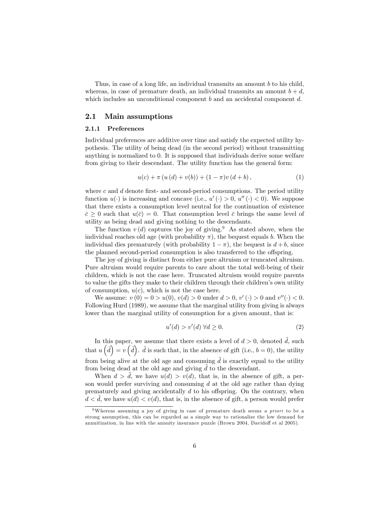Thus, in case of a long life, an individual transmits an amount b to his child, whereas, in case of premature death, an individual transmits an amount  $b + d$ , which includes an unconditional component  $b$  and an accidental component  $d$ .

### 2.1 Main assumptions

#### 2.1.1 Preferences

Individual preferences are additive over time and satisfy the expected utility hypothesis. The utility of being dead (in the second period) without transmitting anything is normalized to 0. It is supposed that individuals derive some welfare from giving to their descendant. The utility function has the general form:

$$
u(c) + \pi (u(d) + v(b)) + (1 - \pi)v(d + b), \qquad (1)
$$

where c and  $d$  denote first- and second-period consumptions. The period utility function  $u(\cdot)$  is increasing and concave (i.e.,  $u'(\cdot) > 0$ ,  $u''(\cdot) < 0$ ). We suppose that there exists a consumption level neutral for the continuation of existence  $\bar{c} \geq 0$  such that  $u(\bar{c}) = 0$ . That consumption level  $\bar{c}$  brings the same level of utility as being dead and giving nothing to the descendants.

The function  $v(d)$  captures the joy of giving.<sup>9</sup> As stated above, when the individual reaches old age (with probability  $\pi$ ), the bequest equals b. When the individual dies prematurely (with probability  $1 - \pi$ ), the bequest is  $d + b$ , since the planned second-period consumption is also transferred to the offspring.

The joy of giving is distinct from either pure altruism or truncated altruism. Pure altruism would require parents to care about the total well-being of their children, which is not the case here. Truncated altruism would require parents to value the gifts they make to their children through their children's own utility of consumption,  $u(c)$ , which is not the case here.

We assume:  $v(0) = 0 > u(0), v(d) > 0$  under  $d > 0, v'(\cdot) > 0$  and  $v''(\cdot) < 0$ . Following Hurd (1989), we assume that the marginal utility from giving is always lower than the marginal utility of consumption for a given amount, that is:

$$
u'(d) > v'(d) \,\forall d \ge 0. \tag{2}
$$

In this paper, we assume that there exists a level of  $d > 0$ , denoted  $\tilde{d}$ , such that  $u\left(\tilde{d}\right)=v\left(\tilde{d}\right)$ .  $\tilde{d}$  is such that, in the absence of gift (i.e.,  $b=0$ ), the utility from being alive at the old age and consuming  $\tilde{d}$  is exactly equal to the utility from being dead at the old age and giving  $d$  to the descendant.

When  $d > d$ , we have  $u(d) > v(d)$ , that is, in the absence of gift, a person would prefer surviving and consuming  $d$  at the old age rather than dying prematurely and giving accidentally  $d$  to his offspring. On the contrary, when  $d < d$ , we have  $u(d) < v(d)$ , that is, in the absence of gift, a person would prefer

<sup>&</sup>lt;sup>9</sup>Whereas assuming a joy of giving in case of premature death seems *a priori* to be a strong assumption, this can be regarded as a simple way to rationalize the low demand for annuitization, in line with the annuity insurance puzzle (Brown 2004, Davidoff et al 2005).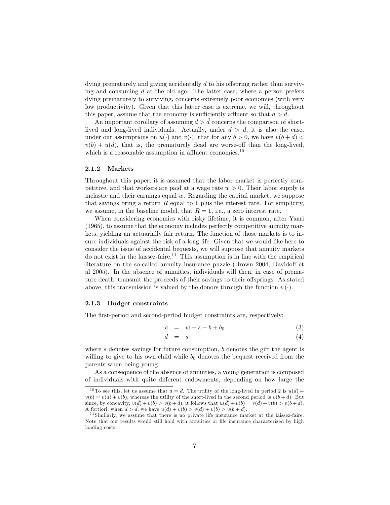dying prematurely and giving accidentally  $d$  to his offspring rather than surviving and consuming  $d$  at the old age. The latter case, where a person prefers dying prematurely to surviving, concerns extremely poor economies (with very low productivity). Given that this latter case is extreme, we will, throughout this paper, assume that the economy is sufficiently affluent so that  $d > d$ .

An important corollary of assuming  $d > d$  concerns the comparison of shortlived and long-lived individuals. Actually, under  $d > d$ , it is also the case, under our assumptions on  $u(\cdot)$  and  $v(\cdot)$ , that for any  $b > 0$ , we have  $v(b+d) <$  $v(b) + u(d)$ , that is, the prematurely dead are worse-off than the long-lived, which is a reasonable assumption in affluent economies.<sup>10</sup>

### 2.1.2 Markets

Throughout this paper, it is assumed that the labor market is perfectly competitive, and that workers are paid at a wage rate  $w > 0$ . Their labor supply is inelastic and their earnings equal  $w$ . Regarding the capital market, we suppose that savings bring a return  $R$  equal to 1 plus the interest rate. For simplicity, we assume, in the baseline model, that  $R = 1$ , i.e., a zero interest rate.

When considering economies with risky lifetime, it is common, after Yaari (1965), to assume that the economy includes perfectly competitive annuity markets, yielding an actuarially fair return. The function of those markets is to insure individuals against the risk of a long life. Given that we would like here to consider the issue of accidental bequests, we will suppose that annuity markets do not exist in the laissez-faire.<sup>11</sup> This assumption is in line with the empirical literature on the so-called annuity insurance puzzle (Brown 2004, Davidoff et al 2005). In the absence of annuities, individuals will then, in case of premature death, transmit the proceeds of their savings to their offsprings. As stated above, this transmission is valued by the donors through the function  $v(\cdot)$ .

### 2.1.3 Budget constraints

The first-period and second-period budget constraints are, respectively:

$$
c = w - s - b + b_0 \tag{3}
$$

$$
d = s \tag{4}
$$

where  $s$  denotes savings for future consumption,  $b$  denotes the gift the agent is willing to give to his own child while  $b_0$  denotes the bequest received from the parents when being young.

As a consequence of the absence of annuities, a young generation is composed of individuals with quite di§erent endowments, depending on how large the

<sup>&</sup>lt;sup>10</sup> To see this, let us assume that  $d = \tilde{d}$ . The utility of the long-lived in period 2 is  $u(\tilde{d})$  +  $v(b) = v(\tilde{d}) + v(b)$ , whereas the utility of the short-lived in the second period is  $v(b + \tilde{d})$ . But since, by concavity,  $v(\tilde{d}) + v(b) > v(b + \tilde{d})$ , it follows that  $u(\tilde{d}) + v(b) = v(\tilde{d}) + v(b) > v(b + \tilde{d})$ . A fortiori, when  $d > \tilde{d}$ , we have  $u(d) + v(b) > v(d) + v(b) > v(b + d)$ .

<sup>&</sup>lt;sup>11</sup> Similarly, we assume that there is no private life insurance market at the laissez-faire. Note that our results would still hold with annuities or life insurance characterized by high loading costs.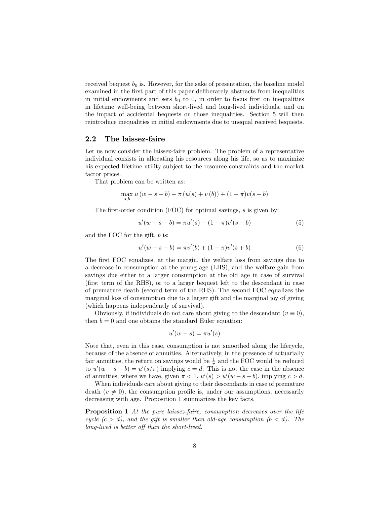received bequest  $b_0$  is. However, for the sake of presentation, the baseline model examined in the first part of this paper deliberately abstracts from inequalities in initial endowments and sets  $b_0$  to 0, in order to focus first on inequalities in lifetime well-being between short-lived and long-lived individuals, and on the impact of accidental bequests on those inequalities. Section 5 will then reintroduce inequalities in initial endowments due to unequal received bequests.

### 2.2 The laissez-faire

Let us now consider the laissez-faire problem. The problem of a representative individual consists in allocating his resources along his life, so as to maximize his expected lifetime utility subject to the resource constraints and the market factor prices.

That problem can be written as:

$$
\max_{s,b} u (w - s - b) + \pi (u(s) + v (b)) + (1 - \pi)v(s + b)
$$

The first-order condition  $(FOC)$  for optimal savings, s is given by:

$$
u'(w - s - b) = \pi u'(s) + (1 - \pi)v'(s + b)
$$
\n(5)

and the FOC for the gift, b is:

$$
u'(w - s - b) = \pi v'(b) + (1 - \pi)v'(s + b)
$$
\n(6)

The first FOC equalizes, at the margin, the welfare loss from savings due to a decrease in consumption at the young age (LHS), and the welfare gain from savings due either to a larger consumption at the old age in case of survival (Örst term of the RHS), or to a larger bequest left to the descendant in case of premature death (second term of the RHS). The second FOC equalizes the marginal loss of consumption due to a larger gift and the marginal joy of giving (which happens independently of survival).

Obviously, if individuals do not care about giving to the descendant  $(v \equiv 0)$ , then  $b = 0$  and one obtains the standard Euler equation:

$$
u'(w-s) = \pi u'(s)
$$

Note that, even in this case, consumption is not smoothed along the lifecycle, because of the absence of annuities. Alternatively, in the presence of actuarially fair annuities, the return on savings would be  $\frac{1}{\pi}$  and the FOC would be reduced to  $u'(w - s - b) = u'(s/\pi)$  implying  $c = d$ . This is not the case in the absence of annuities, where we have, given  $\pi < 1$ ,  $u'(s) > u'(w - s - b)$ , implying  $c > d$ .

When individuals care about giving to their descendants in case of premature death  $(v \neq 0)$ , the consumption profile is, under our assumptions, necessarily decreasing with age. Proposition 1 summarizes the key facts.

**Proposition 1** At the pure laissez-faire, consumption decreases over the life cycle  $(c > d)$ , and the gift is smaller than old-age consumption  $(b < d)$ . The long-lived is better off than the short-lived.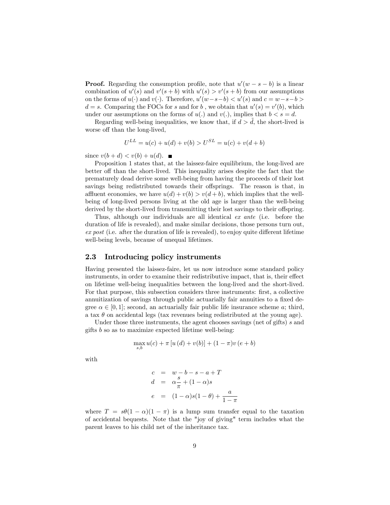**Proof.** Regarding the consumption profile, note that  $u'(w - s - b)$  is a linear combination of  $u'(s)$  and  $v'(s + b)$  with  $u'(s) > v'(s + b)$  from our assumptions on the forms of  $u(\cdot)$  and  $v(\cdot)$ . Therefore,  $u'(w-s-b) < u'(s)$  and  $c = w-s-b$  $d = s$ . Comparing the FOCs for s and for b, we obtain that  $u'(s) = v'(b)$ , which under our assumptions on the forms of  $u(.)$  and  $v(.)$ , implies that  $b < s = d$ .

Regarding well-being inequalities, we know that, if  $d > d$ , the short-lived is worse off than the long-lived,

$$
U^{LL} = u(c) + u(d) + v(b) > U^{SL} = u(c) + v(d+b)
$$

since  $v(b+d) < v(b) + u(d)$ .

Proposition 1 states that, at the laissez-faire equilibrium, the long-lived are better off than the short-lived. This inequality arises despite the fact that the prematurely dead derive some well-being from having the proceeds of their lost savings being redistributed towards their offsprings. The reason is that, in affluent economies, we have  $u(d) + v(b) > v(d + b)$ , which implies that the wellbeing of long-lived persons living at the old age is larger than the well-being derived by the short-lived from transmitting their lost savings to their offspring.

Thus, although our individuals are all identical ex ante (i.e. before the duration of life is revealed), and make similar decisions, those persons turn out,  $ex\ post$  (i.e. after the duration of life is revealed), to enjoy quite different lifetime well-being levels, because of unequal lifetimes.

### 2.3 Introducing policy instruments

Having presented the laissez-faire, let us now introduce some standard policy instruments, in order to examine their redistributive impact, that is, their effect on lifetime well-being inequalities between the long-lived and the short-lived. For that purpose, this subsection considers three instruments: first, a collective annuitization of savings through public actuarially fair annuities to a fixed degree  $\alpha \in [0, 1]$ ; second, an actuarially fair public life insurance scheme a; third, a tax  $\theta$  on accidental legs (tax revenues being redistributed at the young age).

Under those three instruments, the agent chooses savings (net of gifts) s and gifts  $b$  so as to maximize expected lifetime well-being:

$$
\max_{s,b} u(c) + \pi [u(d) + v(b)] + (1 - \pi)v (e + b)
$$

with

$$
c = w - b - s - a + T
$$
  
\n
$$
d = \alpha \frac{s}{\pi} + (1 - \alpha)s
$$
  
\n
$$
e = (1 - \alpha)s(1 - \theta) + \frac{a}{1 - \pi}
$$

where  $T = s\theta(1 - \alpha)(1 - \pi)$  is a lump sum transfer equal to the taxation of accidental bequests. Note that the "joy of giving" term includes what the parent leaves to his child net of the inheritance tax.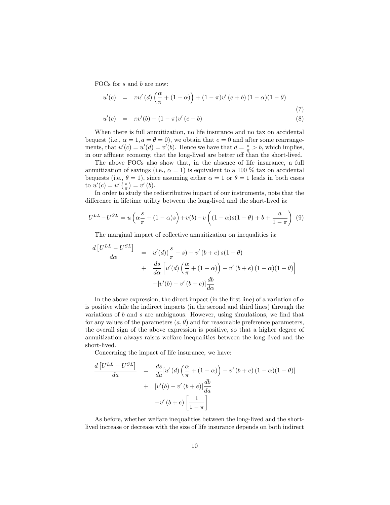FOCs for s and b are now:

$$
u'(c) = \pi u'(d) \left(\frac{\alpha}{\pi} + (1 - \alpha)\right) + (1 - \pi)v'(e + b) (1 - \alpha)(1 - \theta)
$$
\n(7)

$$
u'(c) = \pi v'(b) + (1 - \pi)v'(e + b)
$$
\n(8)

When there is full annuitization, no life insurance and no tax on accidental bequest (i.e.,  $\alpha = 1, a = \theta = 0$ ), we obtain that  $e = 0$  and after some rearrangements, that  $u'(c) = u'(d) = v'(b)$ . Hence we have that  $d = \frac{s}{\pi} > b$ , which implies, in our affluent economy, that the long-lived are better off than the short-lived.

The above FOCs also show that, in the absence of life insurance, a full annuitization of savings (i.e.,  $\alpha = 1$ ) is equivalent to a 100 % tax on accidental bequests (i.e.,  $\theta = 1$ ), since assuming either  $\alpha = 1$  or  $\theta = 1$  leads in both cases to  $u'(c) = u'(\frac{s}{\pi}) = v'(b)$ .

In order to study the redistributive impact of our instruments, note that the difference in lifetime utility between the long-lived and the short-lived is:

$$
U^{LL} - U^{SL} = u\left(\alpha \frac{s}{\pi} + (1 - \alpha)s\right) + v(b) - v\left((1 - \alpha)s(1 - \theta) + b + \frac{a}{1 - \pi}\right) \tag{9}
$$

The marginal impact of collective annuitization on inequalities is:

$$
\frac{d\left[U^{LL} - U^{SL}\right]}{d\alpha} = u'(d)\left(\frac{s}{\pi} - s\right) + v'(b + e) s(1 - \theta)
$$

$$
+ \frac{ds}{d\alpha} \left[u'(d)\left(\frac{\alpha}{\pi} + (1 - \alpha)\right) - v'(b + e)(1 - \alpha)(1 - \theta)\right]
$$

$$
+ [v'(b) - v'(b + e)]\frac{db}{d\alpha}
$$

In the above expression, the direct impact (in the first line) of a variation of  $\alpha$ is positive while the indirect impacts (in the second and third lines) through the variations of  $b$  and  $s$  are ambiguous. However, using simulations, we find that for any values of the parameters  $(a, \theta)$  and for reasonable preference parameters, the overall sign of the above expression is positive, so that a higher degree of annuitization always raises welfare inequalities between the long-lived and the short-lived.

Concerning the impact of life insurance, we have:

$$
\frac{d\left[U^{LL} - U^{SL}\right]}{da} = \frac{ds}{da}[u'(d)\left(\frac{\alpha}{\pi} + (1 - \alpha)\right) - v'(b + e)(1 - \alpha)(1 - \theta)]
$$

$$
+ [v'(b) - v'(b + e)]\frac{db}{da}
$$

$$
-v'(b + e)\left[\frac{1}{1 - \pi}\right]
$$

As before, whether welfare inequalities between the long-lived and the shortlived increase or decrease with the size of life insurance depends on both indirect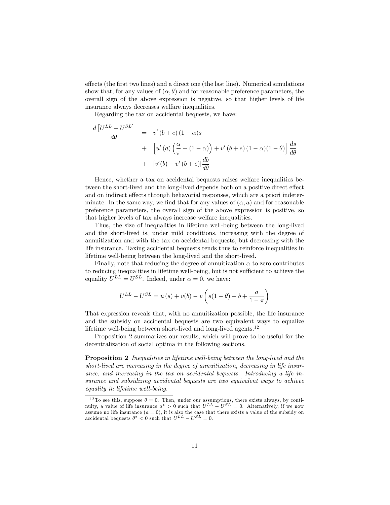effects (the first two lines) and a direct one (the last line). Numerical simulations show that, for any values of  $(\alpha, \theta)$  and for reasonable preference parameters, the overall sign of the above expression is negative, so that higher levels of life insurance always decreases welfare inequalities.

Regarding the tax on accidental bequests, we have:

$$
\frac{d\left[U^{LL} - U^{SL}\right]}{d\theta} = v'(b+e)(1-\alpha)s
$$
  
+ 
$$
\left[u'(d)\left(\frac{\alpha}{\pi} + (1-\alpha)\right) + v'(b+e)(1-\alpha)(1-\theta)\right] \frac{ds}{d\theta}
$$
  
+ 
$$
\left[v'(b) - v'(b+e)\right] \frac{db}{d\theta}
$$

Hence, whether a tax on accidental bequests raises welfare inequalities between the short-lived and the long-lived depends both on a positive direct effect and on indirect effects through behavorial responses, which are a priori indeterminate. In the same way, we find that for any values of  $(\alpha, a)$  and for reasonable preference parameters, the overall sign of the above expression is positive, so that higher levels of tax always increase welfare inequalities.

Thus, the size of inequalities in lifetime well-being between the long-lived and the short-lived is, under mild conditions, increasing with the degree of annuitization and with the tax on accidental bequests, but decreasing with the life insurance. Taxing accidental bequests tends thus to reinforce inequalities in lifetime well-being between the long-lived and the short-lived.

Finally, note that reducing the degree of annuitization  $\alpha$  to zero contributes to reducing inequalities in lifetime well-being, but is not sufficient to achieve the equality  $U^{LL} = U^{SL}$ . Indeed, under  $\alpha = 0$ , we have:

$$
U^{LL} - U^{SL} = u(s) + v(b) - v\left(s(1 - \theta) + b + \frac{a}{1 - \pi}\right)
$$

That expression reveals that, with no annuitization possible, the life insurance and the subsidy on accidental bequests are two equivalent ways to equalize lifetime well-being between short-lived and long-lived agents. $^{12}$ 

Proposition 2 summarizes our results, which will prove to be useful for the decentralization of social optima in the following sections.

Proposition 2 Inequalities in lifetime well-being between the long-lived and the short-lived are increasing in the degree of annuitization, decreasing in life insurance, and increasing in the tax on accidental bequests. Introducing a life insurance and subsidizing accidental bequests are two equivalent ways to achieve equality in lifetime well-being.

<sup>&</sup>lt;sup>12</sup> To see this, suppose  $\theta = 0$ . Then, under our assumptions, there exists always, by continuity, a value of life insurance  $a^* > 0$  such that  $U^{LL} - U^{SL} = 0$ . Alternatively, if we now assume no life insurance  $(a = 0)$ , it is also the case that there exists a value of the subsidy on accidental bequests  $\theta^* < 0$  such that  $U^{LL} - U^{SL} = 0$ .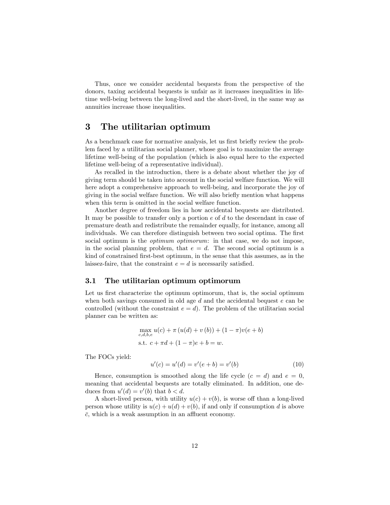Thus, once we consider accidental bequests from the perspective of the donors, taxing accidental bequests is unfair as it increases inequalities in lifetime well-being between the long-lived and the short-lived, in the same way as annuities increase those inequalities.

### 3 The utilitarian optimum

As a benchmark case for normative analysis, let us first briefly review the problem faced by a utilitarian social planner, whose goal is to maximize the average lifetime well-being of the population (which is also equal here to the expected lifetime well-being of a representative individual).

As recalled in the introduction, there is a debate about whether the joy of giving term should be taken into account in the social welfare function. We will here adopt a comprehensive approach to well-being, and incorporate the joy of giving in the social welfare function. We will also brieáy mention what happens when this term is omitted in the social welfare function.

Another degree of freedom lies in how accidental bequests are distributed. It may be possible to transfer only a portion  $e$  of  $d$  to the descendant in case of premature death and redistribute the remainder equally, for instance, among all individuals. We can therefore distinguish between two social optima. The first social optimum is the *optimum optimorum*: in that case, we do not impose, in the social planning problem, that  $e = d$ . The second social optimum is a kind of constrained first-best optimum, in the sense that this assumes, as in the laissez-faire, that the constraint  $e = d$  is necessarily satisfied.

### 3.1 The utilitarian optimum optimorum

Let us first characterize the optimum optimorum, that is, the social optimum when both savings consumed in old age  $d$  and the accidental bequest  $e$  can be controlled (without the constraint  $e = d$ ). The problem of the utilitarian social planner can be written as:

$$
\max_{c,d,b,e} u(c) + \pi (u(d) + v(b)) + (1 - \pi)v(e + b)
$$
  
s.t.  $c + \pi d + (1 - \pi)e + b = w$ .

The FOCs yield:

$$
u'(c) = u'(d) = v'(e+b) = v'(b)
$$
\n(10)

Hence, consumption is smoothed along the life cycle  $(c = d)$  and  $e = 0$ , meaning that accidental bequests are totally eliminated. In addition, one deduces from  $u'(d) = v'(b)$  that  $b < d$ .

A short-lived person, with utility  $u(c) + v(b)$ , is worse off than a long-lived person whose utility is  $u(c) + u(d) + v(b)$ , if and only if consumption d is above  $\overline{c}$ , which is a weak assumption in an affluent economy.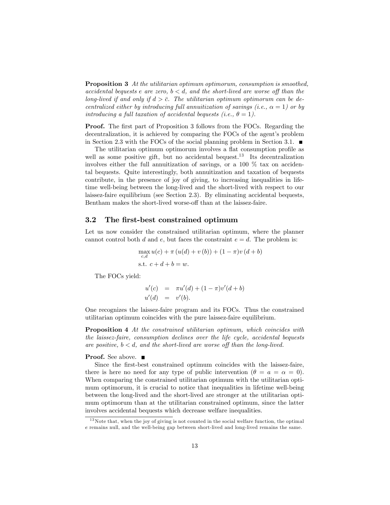Proposition 3 At the utilitarian optimum optimorum, consumption is smoothed, accidental bequests e are zero,  $b < d$ , and the short-lived are worse off than the long-lived if and only if  $d > \overline{c}$ . The utilitarian optimum optimorum can be decentralized either by introducing full annuitization of savings (i.e.,  $\alpha = 1$ ) or by introducing a full taxation of accidental bequests (i.e.,  $\theta = 1$ ).

**Proof.** The first part of Proposition 3 follows from the FOCs. Regarding the decentralization, it is achieved by comparing the FOCs of the agent's problem in Section 2.3 with the FOCs of the social planning problem in Section 3.1.  $\blacksquare$ 

The utilitarian optimum optimorum involves a flat consumption profile as well as some positive gift, but no accidental bequest.<sup>13</sup> Its decentralization involves either the full annuitization of savings, or a 100 % tax on accidental bequests. Quite interestingly, both annuitization and taxation of bequests contribute, in the presence of joy of giving, to increasing inequalities in lifetime well-being between the long-lived and the short-lived with respect to our laissez-faire equilibrium (see Section 2.3). By eliminating accidental bequests, Bentham makes the short-lived worse-off than at the laissez-faire.

### 3.2 The first-best constrained optimum

Let us now consider the constrained utilitarian optimum, where the planner cannot control both d and e, but faces the constraint  $e = d$ . The problem is:

$$
\max_{c,d} u(c) + \pi (u(d) + v(b)) + (1 - \pi)v(d + b)
$$
  
s.t.  $c + d + b = w$ .

The FOCs yield:

$$
u'(c) = \pi u'(d) + (1 - \pi)v'(d + b)
$$
  
 
$$
u'(d) = v'(b).
$$

One recognizes the laissez-faire program and its FOCs. Thus the constrained utilitarian optimum coincides with the pure laissez-faire equilibrium.

Proposition 4 At the constrained utilitarian optimum, which coincides with the laissez-faire, consumption declines over the life cycle, accidental bequests are positive,  $b < d$ , and the short-lived are worse off than the long-lived.

### **Proof.** See above. ■

Since the first-best constrained optimum coincides with the laissez-faire, there is here no need for any type of public intervention  $(\theta = a = \alpha = 0)$ . When comparing the constrained utilitarian optimum with the utilitarian optimum optimorum, it is crucial to notice that inequalities in lifetime well-being between the long-lived and the short-lived are stronger at the utilitarian optimum optimorum than at the utilitarian constrained optimum, since the latter involves accidental bequests which decrease welfare inequalities.

 $13$  Note that, when the joy of giving is not counted in the social welfare function, the optimal e remains null, and the well-being gap between short-lived and long-lived remains the same.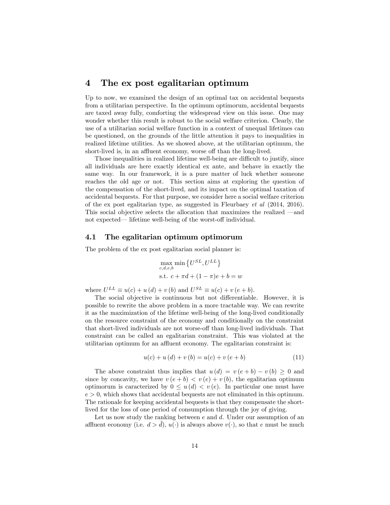### 4 The ex post egalitarian optimum

Up to now, we examined the design of an optimal tax on accidental bequests from a utilitarian perspective. In the optimum optimorum, accidental bequests are taxed away fully, comforting the widespread view on this issue. One may wonder whether this result is robust to the social welfare criterion. Clearly, the use of a utilitarian social welfare function in a context of unequal lifetimes can be questioned, on the grounds of the little attention it pays to inequalities in realized lifetime utilities. As we showed above, at the utilitarian optimum, the short-lived is, in an affluent economy, worse off than the long-lived.

Those inequalities in realized lifetime well-being are difficult to justify, since all individuals are here exactly identical ex ante, and behave in exactly the same way. In our framework, it is a pure matter of luck whether someone reaches the old age or not. This section aims at exploring the question of the compensation of the short-lived, and its impact on the optimal taxation of accidental bequests. For that purpose, we consider here a social welfare criterion of the ex post egalitarian type, as suggested in Fleurbaey et al (2014, 2016). This social objective selects the allocation that maximizes the realized  $-\text{and}$ not expected— lifetime well-being of the worst-off individual.

### 4.1 The egalitarian optimum optimorum

The problem of the ex post egalitarian social planner is:

$$
\max_{c,d,e,b} \min \left\{ U^{SL}, U^{LL} \right\}
$$
  
s.t.  $c + \pi d + (1 - \pi)e + b = w$ 

where  $U^{LL} \equiv u(c) + u(d) + v(b)$  and  $U^{SL} \equiv u(c) + v(e+b)$ .

The social objective is continuous but not differentiable. However, it is possible to rewrite the above problem in a more tractable way. We can rewrite it as the maximization of the lifetime well-being of the long-lived conditionally on the resource constraint of the economy and conditionally on the constraint that short-lived individuals are not worse-off than long-lived individuals. That constraint can be called an egalitarian constraint. This was violated at the utilitarian optimum for an affluent economy. The egalitarian constraint is:

$$
u(c) + u(d) + v(b) = u(c) + v(e + b)
$$
\n(11)

The above constraint thus implies that  $u(d) = v(e + b) - v(b) \geq 0$  and since by concavity, we have  $v(e + b) < v(e) + v(b)$ , the egalitarian optimum optimorum is caracterized by  $0 \leq u(d) \leq v(e)$ . In particular one must have  $e > 0$ , which shows that accidental bequests are not eliminated in this optimum. The rationale for keeping accidental bequests is that they compensate the shortlived for the loss of one period of consumption through the joy of giving.

Let us now study the ranking between  $e$  and  $d$ . Under our assumption of an affluent economy (i.e.  $d > d$ ),  $u(\cdot)$  is always above  $v(\cdot)$ , so that e must be much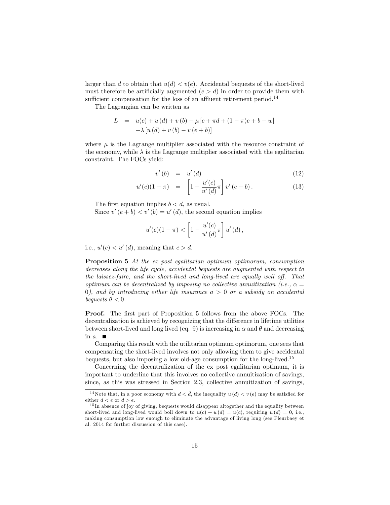larger than d to obtain that  $u(d) < v(e)$ . Accidental bequests of the short-lived must therefore be artificially augmented  $(e > d)$  in order to provide them with sufficient compensation for the loss of an affluent retirement period.<sup>14</sup>

The Lagrangian can be written as

L = 
$$
u(c) + u(d) + v(b) - \mu[c + \pi d + (1 - \pi)e + b - w]
$$
  
-  $\lambda [u(d) + v(b) - v(e + b)]$ 

where  $\mu$  is the Lagrange multiplier associated with the resource constraint of the economy, while  $\lambda$  is the Lagrange multiplier associated with the egalitarian constraint. The FOCs yield:

$$
v'(b) = u'(d) \tag{12}
$$

$$
u'(c)(1-\pi) = \left[1 - \frac{u'(c)}{u'(d)}\pi\right]v'(e+b).
$$
 (13)

The first equation implies  $b < d$ , as usual.

Since  $v'(e + b) < v'(b) = u'(d)$ , the second equation implies

$$
u'(c)(1-\pi) < \left[1 - \frac{u'(c)}{u'(d)}\pi\right]u'(d),
$$

i.e.,  $u'(c) < u'(d)$ , meaning that  $c > d$ .

Proposition 5 At the ex post egalitarian optimum optimorum, consumption decreases along the life cycle, accidental bequests are augmented with respect to the laissez-faire, and the short-lived and long-lived are equally well off. That optimum can be decentralized by imposing no collective annuitization (i.e.,  $\alpha =$ 0), and by introducing either life insurance  $a > 0$  or a subsidy on accidental bequests  $\theta < 0$ .

**Proof.** The first part of Proposition 5 follows from the above FOCs. The decentralization is achieved by recognizing that the difference in lifetime utilities between short-lived and long lived (eq. 9) is increasing in  $\alpha$  and  $\theta$  and decreasing in  $a$ .

Comparing this result with the utilitarian optimum optimorum, one sees that compensating the short-lived involves not only allowing them to give accidental bequests, but also imposing a low old-age consumption for the long-lived.<sup>15</sup>

Concerning the decentralization of the ex post egalitarian optimum, it is important to underline that this involves no collective annuitization of savings, since, as this was stressed in Section 2.3, collective annuitization of savings,

<sup>&</sup>lt;sup>14</sup>Note that, in a poor economy with  $d < d$ , the inequality  $u(d) < v(e)$  may be satisfied for either  $d < e$  or  $d > e$ .

<sup>&</sup>lt;sup>15</sup> In absence of joy of giving, bequests would disappear altogether and the equality between short-lived and long-lived would boil down to  $u(c) + u(d) = u(c)$ , requiring  $u(d) = 0$ , i.e., making consumption low enough to eliminate the advantage of living long (see Fleurbaey et al. 2014 for further discussion of this case).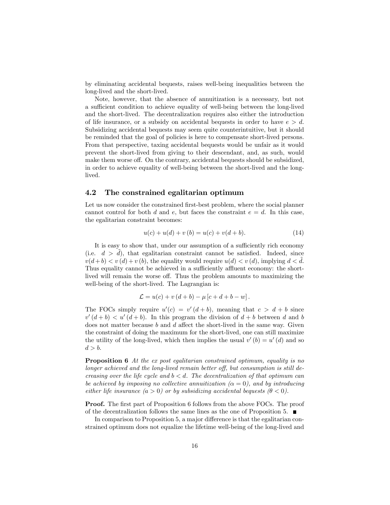by eliminating accidental bequests, raises well-being inequalities between the long-lived and the short-lived.

Note, however, that the absence of annuitization is a necessary, but not a sufficient condition to achieve equality of well-being between the long-lived and the short-lived. The decentralization requires also either the introduction of life insurance, or a subsidy on accidental bequests in order to have  $e > d$ . Subsidizing accidental bequests may seem quite counterintuitive, but it should be reminded that the goal of policies is here to compensate short-lived persons. From that perspective, taxing accidental bequests would be unfair as it would prevent the short-lived from giving to their descendant, and, as such, would make them worse off. On the contrary, accidental bequests should be subsidized, in order to achieve equality of well-being between the short-lived and the longlived.

### 4.2 The constrained egalitarian optimum

Let us now consider the constrained first-best problem, where the social planner cannot control for both d and e, but faces the constraint  $e = d$ . In this case, the egalitarian constraint becomes:

$$
u(c) + u(d) + v(b) = u(c) + v(d + b).
$$
 (14)

It is easy to show that, under our assumption of a sufficiently rich economy (i.e.  $d > d$ ), that egalitarian constraint cannot be satisfied. Indeed, since  $v(d + b) < v(d) + v(b)$ , the equality would require  $u(d) < v(d)$ , implying  $d < d$ . Thus equality cannot be achieved in a sufficiently affluent economy: the shortlived will remain the worse off. Thus the problem amounts to maximizing the well-being of the short-lived. The Lagrangian is:

$$
\mathcal{L} = u(c) + v(d+b) - \mu[c+d+b-w].
$$

The FOCs simply require  $u'(c) = v'(d+b)$ , meaning that  $c > d + b$  since  $v'(d + b) < u'(d + b)$ . In this program the division of  $d + b$  between d and b does not matter because  $b$  and  $d$  affect the short-lived in the same way. Given the constraint of doing the maximum for the short-lived, one can still maximize the utility of the long-lived, which then implies the usual  $v'(b) = u'(d)$  and so  $d > b$ .

Proposition 6 At the ex post egalitarian constrained optimum, equality is no longer achieved and the long-lived remain better off, but consumption is still decreasing over the life cycle and  $b < d$ . The decentralization of that optimum can be achieved by imposing no collective annuitization  $(\alpha = 0)$ , and by introducing either life insurance  $(a > 0)$  or by subsidizing accidental bequests  $(\theta < 0)$ .

**Proof.** The first part of Proposition 6 follows from the above FOCs. The proof of the decentralization follows the same lines as the one of Proposition 5.  $\blacksquare$ 

In comparison to Proposition 5, a major difference is that the egalitarian constrained optimum does not equalize the lifetime well-being of the long-lived and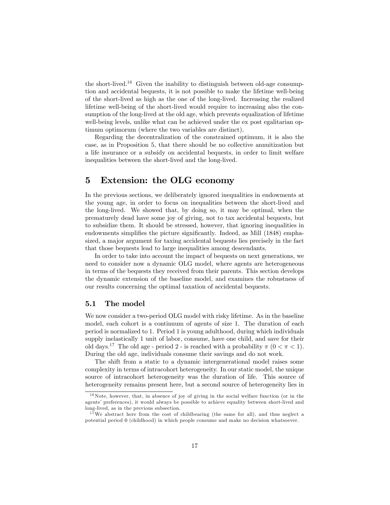the short-lived.<sup>16</sup> Given the inability to distinguish between old-age consumption and accidental bequests, it is not possible to make the lifetime well-being of the short-lived as high as the one of the long-lived. Increasing the realized lifetime well-being of the short-lived would require to increasing also the consumption of the long-lived at the old age, which prevents equalization of lifetime well-being levels, unlike what can be achieved under the ex post egalitarian optimum optimorum (where the two variables are distinct).

Regarding the decentralization of the constrained optimum, it is also the case, as in Proposition 5, that there should be no collective annuitization but a life insurance or a subsidy on accidental bequests, in order to limit welfare inequalities between the short-lived and the long-lived.

### 5 Extension: the OLG economy

In the previous sections, we deliberately ignored inequalities in endowments at the young age, in order to focus on inequalities between the short-lived and the long-lived. We showed that, by doing so, it may be optimal, when the prematurely dead have some joy of giving, not to tax accidental bequests, but to subsidize them. It should be stressed, however, that ignoring inequalities in endowments simplifies the picture significantly. Indeed, as Mill (1848) emphasized, a major argument for taxing accidental bequests lies precisely in the fact that those bequests lead to large inequalities among descendants.

In order to take into account the impact of bequests on next generations, we need to consider now a dynamic OLG model, where agents are heterogeneous in terms of the bequests they received from their parents. This section develops the dynamic extension of the baseline model, and examines the robustness of our results concerning the optimal taxation of accidental bequests.

### 5.1 The model

We now consider a two-period OLG model with risky lifetime. As in the baseline model, each cohort is a continuum of agents of size 1. The duration of each period is normalized to 1. Period 1 is young adulthood, during which individuals supply inelastically 1 unit of labor, consume, have one child, and save for their old days.<sup>17</sup> The old age - period 2 - is reached with a probability  $\pi$  ( $0 < \pi < 1$ ). During the old age, individuals consume their savings and do not work.

The shift from a static to a dynamic intergenerational model raises some complexity in terms of intracohort heterogeneity. In our static model, the unique source of intracohort heterogeneity was the duration of life. This source of heterogeneity remains present here, but a second source of heterogeneity lies in

<sup>16</sup>Note, however, that, in absence of joy of giving in the social welfare function (or in the agents' preferences), it would always be possible to achieve equality between short-lived and long-lived, as in the previous subsection.

<sup>&</sup>lt;sup>17</sup>We abstract here from the cost of childbearing (the same for all), and thus neglect a potential period 0 (childhood) in which people consume and make no decision whatsoever.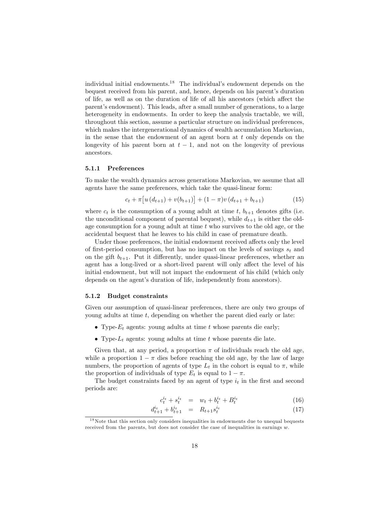individual initial endowments.<sup>18</sup> The individual's endowment depends on the bequest received from his parent, and, hence, depends on his parent's duration of life, as well as on the duration of life of all his ancestors (which affect the parentís endowment). This leads, after a small number of generations, to a large heterogeneity in endowments. In order to keep the analysis tractable, we will, throughout this section, assume a particular structure on individual preferences, which makes the intergenerational dynamics of wealth accumulation Markovian, in the sense that the endowment of an agent born at  $t$  only depends on the longevity of his parent born at  $t-1$ , and not on the longevity of previous ancestors.

### 5.1.1 Preferences

To make the wealth dynamics across generations Markovian, we assume that all agents have the same preferences, which take the quasi-linear form:

$$
c_{t} + \pi \left[ u\left(d_{t+1}\right) + v(b_{t+1}) \right] + (1 - \pi)v\left(d_{t+1} + b_{t+1}\right) \tag{15}
$$

where  $c_t$  is the consumption of a young adult at time t,  $b_{t+1}$  denotes gifts (i.e. the unconditional component of parental bequest), while  $d_{t+1}$  is either the oldage consumption for a young adult at time t who survives to the old age, or the accidental bequest that he leaves to his child in case of premature death.

Under those preferences, the initial endowment received affects only the level of first-period consumption, but has no impact on the levels of savings  $s_t$  and on the gift  $b_{t+1}$ . Put it differently, under quasi-linear preferences, whether an agent has a long-lived or a short-lived parent will only affect the level of his initial endowment, but will not impact the endowment of his child (which only depends on the agent's duration of life, independently from ancestors).

#### 5.1.2 Budget constraints

Given our assumption of quasi-linear preferences, there are only two groups of young adults at time  $t$ , depending on whether the parent died early or late:

- Type- $E_t$  agents: young adults at time t whose parents die early;
- Type- $L_t$  agents: young adults at time t whose parents die late.

Given that, at any period, a proportion  $\pi$  of individuals reach the old age, while a proportion  $1 - \pi$  dies before reaching the old age, by the law of large numbers, the proportion of agents of type  $L_t$  in the cohort is equal to  $\pi$ , while the proportion of individuals of type  $E_t$  is equal to  $1 - \pi$ .

The budget constraints faced by an agent of type  $i_t$  in the first and second periods are:

$$
c_t^{i_t} + s_t^{i_t} = w_t + b_t^{i_t} + B_t^{i_t}
$$
 (16)

$$
d_{t+1}^{i_t} + b_{t+1}^{i_t} = R_{t+1} s_t^{i_t} \tag{17}
$$

<sup>&</sup>lt;sup>18</sup>Note that this section only considers inequalities in endowments due to unequal bequests received from the parents, but does not consider the case of inequalities in earnings w.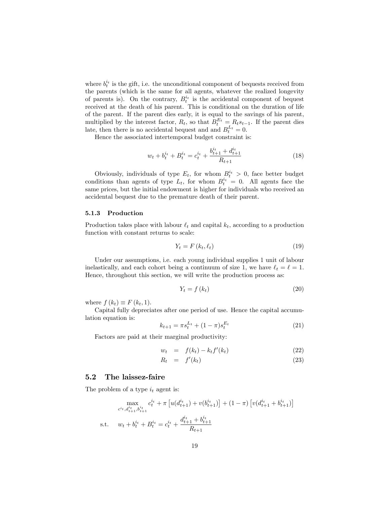where  $b_t^{i_t}$  is the gift, i.e. the unconditional component of bequests received from the parents (which is the same for all agents, whatever the realized longevity of parents is). On the contrary,  $B_t^{i_t}$  is the accidental component of bequest received at the death of his parent. This is conditional on the duration of life of the parent. If the parent dies early, it is equal to the savings of his parent, multiplied by the interest factor,  $R_t$ , so that  $B_t^{E_t} = R_ts_{t-1}$ . If the parent dies late, then there is no accidental bequest and and  $B_t^{L_t} = 0$ .

Hence the associated intertemporal budget constraint is:

$$
w_t + b_t^{i_t} + B_t^{i_t} = c_t^{i_t} + \frac{b_{t+1}^{i_t} + d_{t+1}^{i_t}}{R_{t+1}}
$$
\n
$$
(18)
$$

Obviously, individuals of type  $E_t$ , for whom  $B_t^{i_t} > 0$ , face better budget conditions than agents of type  $L_t$ , for whom  $B_t^{i_t} = 0$ . All agents face the same prices, but the initial endowment is higher for individuals who received an accidental bequest due to the premature death of their parent.

### 5.1.3 Production

Production takes place with labour  $\ell_t$  and capital  $k_t$ , according to a production function with constant returns to scale:

$$
Y_t = F(k_t, \ell_t) \tag{19}
$$

Under our assumptions, i.e. each young individual supplies 1 unit of labour inelastically, and each cohort being a continuum of size 1, we have  $\ell_t = \ell = 1$ . Hence, throughout this section, we will write the production process as:

$$
Y_t = f(k_t) \tag{20}
$$

where  $f(k_t) \equiv F(k_t, 1)$ .

Capital fully depreciates after one period of use. Hence the capital accumulation equation is:

$$
k_{t+1} = \pi s_t^{L_t} + (1 - \pi)s_t^{E_t}
$$
\n(21)

Factors are paid at their marginal productivity:

$$
w_t = f(k_t) - k_t f'(k_t) \tag{22}
$$

$$
R_t = f'(k_t) \tag{23}
$$

### 5.2 The laissez-faire

The problem of a type  $i_t$  agent is:

$$
\max_{c^{i_t}, d^{i_t}_{t+1}, b^{i_t}_{t+1}} c^{i_t}_t + \pi \left[ u(d^{i_t}_{t+1}) + v(b^{i_t}_{t+1}) \right] + (1 - \pi) \left[ v(d^{i_t}_{t+1} + b^{i_t}_{t+1}) \right]
$$
\ns.t. 
$$
w_t + b^{i_t}_t + B^{i_t}_t = c^{i_t}_t + \frac{d^{i_t}_{t+1} + b^{i_t}_{t+1}}{R_{t+1}}
$$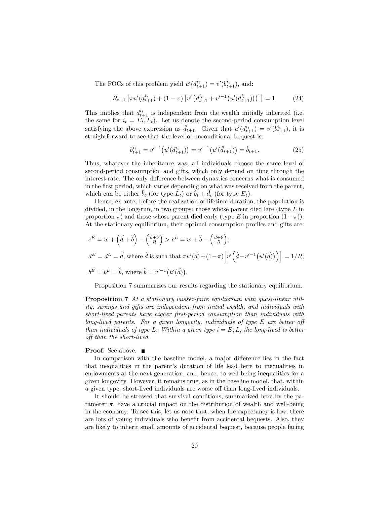The FOCs of this problem yield  $u'(d_{t+1}^{i_t}) = v'(b_{t+1}^{i_t}),$  and:

$$
R_{t+1}\left[\pi u'(d_{t+1}^{i_t}) + (1-\pi)\left[v'\left(d_{t+1}^{i_t} + v'^{-1}\left(u'(d_{t+1}^{i_t})\right)\right)\right]\right] = 1.
$$
 (24)

This implies that  $d_{t+1}^{i_t}$  is independent from the wealth initially inherited (i.e. the same for  $i_t = E_t, L_t$ . Let us denote the second-period consumption level satisfying the above expression as  $\check{d}_{t+1}$ . Given that  $u'(d_{t+1}^{i_t}) = v'(b_{t+1}^{i_t}),$  it is straightforward to see that the level of unconditional bequest is:

$$
b_{t+1}^{i_t} = v'^{-1} (u'(d_{t+1}^{i_t})) = v'^{-1} (u'(d_{t+1})) = \check{b}_{t+1}.
$$
 (25)

Thus, whatever the inheritance was, all individuals choose the same level of second-period consumption and gifts, which only depend on time through the interest rate. The only difference between dynasties concerns what is consumed in the first period, which varies depending on what was received from the parent, which can be either  $\check{b}_t$  (for type  $L_t$ ) or  $\check{b}_t + \check{d}_t$  (for type  $E_t$ ).

Hence, ex ante, before the realization of lifetime duration, the population is divided, in the long-run, in two groups: those whose parent died late (type  $L$  in proportion  $\pi$ ) and those whose parent died early (type E in proportion  $(1-\pi)$ ). At the stationary equilibrium, their optimal consumption profiles and gifts are:

$$
c^{E} = w + (\check{d} + \check{b}) - (\frac{\check{d} + \check{b}}{R}) > c^{L} = w + \check{b} - (\frac{\check{d} + \check{b}}{R});
$$
  
\n
$$
d^{E} = d^{L} = \check{d}, \text{ where } \check{d} \text{ is such that } \pi u'(\check{d}) + (1 - \pi) \Big[ v' \Big( \check{d} + v'^{-1} \big( u'(\check{d}) \big) \Big) \Big] = 1/R;
$$
  
\n
$$
b^{E} = b^{L} = \check{b}, \text{ where } \check{b} = v'^{-1} \big( u'(\check{d}) \big).
$$

Proposition 7 summarizes our results regarding the stationary equilibrium.

**Proposition 7** At a stationary laissez-faire equilibrium with quasi-linear utility, savings and gifts are independent from initial wealth, and individuals with short-lived parents have higher first-period consumption than individuals with long-lived parents. For a given longevity, individuals of type  $E$  are better off than individuals of type L. Within a given type  $i = E, L$ , the long-lived is better off than the short-lived.

### **Proof.** See above. ■

In comparison with the baseline model, a major difference lies in the fact that inequalities in the parent's duration of life lead here to inequalities in endowments at the next generation, and, hence, to well-being inequalities for a given longevity. However, it remains true, as in the baseline model, that, within a given type, short-lived individuals are worse off than long-lived individuals.

It should be stressed that survival conditions, summarized here by the parameter  $\pi$ , have a crucial impact on the distribution of wealth and well-being in the economy. To see this, let us note that, when life expectancy is low, there are lots of young individuals who benefit from accidental bequests. Also, they are likely to inherit small amounts of accidental bequest, because people facing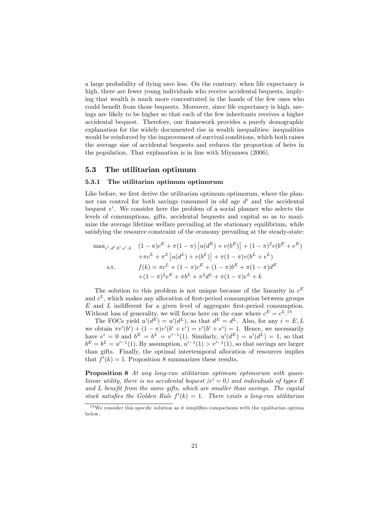a large probability of dying save less. On the contrary, when life expectancy is high, there are fewer young individuals who receive accidental bequests, implying that wealth is much more concentrated in the hands of the few ones who could benefit from those bequests. Moreover, since life expectancy is high, savings are likely to be higher so that each of the few inheritants receives a higher accidental bequest. Therefore, our framework provides a purely demographic explanation for the widely documented rise in wealth inequalities: inequalities would be reinforced by the improvement of survival conditions, which both raises the average size of accidental bequests and reduces the proportion of heirs in the population. That explanation is in line with Miyazawa (2006).

### 5.3 The utilitarian optimum

#### 5.3.1 The utilitarian optimum optimorum

Like before, we first derive the utilitarian optimum optimorum, where the planner can control for both savings consumed in old age  $d^i$  and the accidental bequest  $e^i$ . We consider here the problem of a social planner who selects the levels of consumptions, gifts, accidental bequests and capital so as to maximize the average lifetime welfare prevailing at the stationary equilibrium, while satisfying the resource constraint of the economy prevailing at the steady-state:

$$
\max_{c^i, d^i, b^i, e^i, k} \quad (1 - \pi)c^E + \pi(1 - \pi) \left[ u(d^E) + v(b^E) \right] + (1 - \pi)^2 v(b^E + e^E) \n+ \pi c^L + \pi^2 \left[ u(d^L) + v(b^L) \right] + \pi(1 - \pi)v(b^L + e^L) \ns.t. \qquad f(k) = \pi c^L + (1 - \pi)c^E + (1 - \pi)b^E + \pi(1 - \pi)d^E \n+ (1 - \pi)^2 e^E + \pi b^L + \pi^2 d^L + \pi(1 - \pi)e^L + k
$$

The solution to this problem is not unique because of the linearity in  $c^E$ and  $c^L$ , which makes any allocation of first-period consumption between groups  $E$  and  $L$  indifferent for a given level of aggregate first-period consumption. Without loss of generality, we will focus here on the case where  $c^E = c^L$ .<sup>19</sup>

The FOCs yield  $u'(d^E) = u'(d^L)$ , so that  $d^E = d^L$ . Also, for any  $i = E, L$ we obtain  $\pi v'(b^i) + (1 - \pi)v'(b^i + e^i) = v'(b^i + e^i) = 1$ . Hence, we necessarily have  $e^i = 0$  and  $b^E = b^L = v'^{-1}(1)$ . Similarly,  $u'(d^E) = u'(d^L) = 1$ , so that  $b^E = b^L = u'^{-1}(1)$ . By assumption,  $u'^{-1}(1) > v'^{-1}(1)$ , so that savings are larger than gifts. Finally, the optimal intertemporal allocation of resources implies that  $f'(k) = 1$ . Proposition 8 summarizes these results.

Proposition 8 At any long-run utilitarian optimum optimorum with quasilinear utility, there is no accidental bequest  $(e^{i} = 0)$  and individuals of types E and  $L$  benefit from the same gifts, which are smaller than savings. The capital stock satisfies the Golden Rule  $f'(k) = 1$ . There exists a long-run utilitarian

 $19\,\text{We}$  consider this specific solution as it simplifies comparisons with the egalitarian optima below.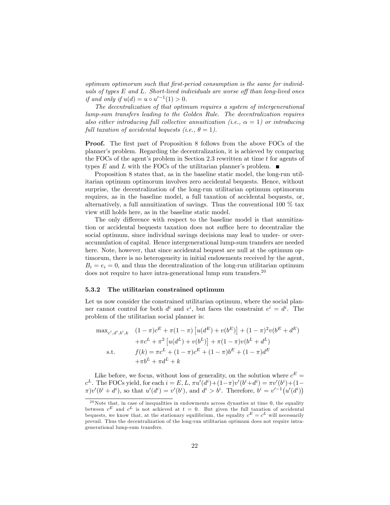optimum optimorum such that Örst-period consumption is the same for individuals of types  $E$  and  $L$ . Short-lived individuals are worse off than long-lived ones if and only if  $u(d) = u \circ u'^{-1}(1) > 0$ .

The decentralization of that optimum requires a system of intergenerational lump-sum transfers leading to the Golden Rule. The decentralization requires also either introducing full collective annuitization (i.e.,  $\alpha = 1$ ) or introducing full taxation of accidental bequests (i.e.,  $\theta = 1$ ).

**Proof.** The first part of Proposition 8 follows from the above FOCs of the plannerís problem. Regarding the decentralization, it is achieved by comparing the FOCs of the agent's problem in Section 2.3 rewritten at time  $t$  for agents of types E and L with the FOCs of the utilitarian planner's problem.  $\blacksquare$ 

Proposition 8 states that, as in the baseline static model, the long-run utilitarian optimum optimorum involves zero accidental bequests. Hence, without surprise, the decentralization of the long-run utilitarian optimum optimorum requires, as in the baseline model, a full taxation of accidental bequests, or, alternatively, a full annuitization of savings. Thus the conventional 100 % tax view still holds here, as in the baseline static model.

The only difference with respect to the baseline model is that annuitization or accidental bequests taxation does not suffice here to decentralize the social optimum, since individual savings decisions may lead to under- or overaccumulation of capital. Hence intergenerational lump-sum transfers are needed here. Note, however, that since accidental bequest are null at the optimum optimorum, there is no heterogeneity in initial endowments received by the agent,  $B_i = e_i = 0$ , and thus the decentralization of the long-run utilitarian optimum does not require to have intra-generational lump sum transfers. $20$ 

### 5.3.2 The utilitarian constrained optimum

Let us now consider the constrained utilitarian optimum, where the social planner cannot control for both  $d^i$  and  $e^i$ , but faces the constraint  $e^i = d^i$ . The problem of the utilitarian social planner is:

$$
\max_{c^i, d^i, b^i, k} \quad (1 - \pi)c^E + \pi(1 - \pi) \left[ u(d^E) + v(b^E) \right] + (1 - \pi)^2 v(b^E + d^E) \n+ \pi c^L + \pi^2 \left[ u(d^L) + v(b^L) \right] + \pi(1 - \pi)v(b^L + d^L) \n\text{s.t.} \quad f(k) = \pi c^L + (1 - \pi)c^E + (1 - \pi)b^E + (1 - \pi)d^E \n+ \pi b^L + \pi d^L + k
$$

Like before, we focus, without loss of generality, on the solution where  $c^E =$  $c^L$ . The FOCs yield, for each  $i = E, L, \pi u'(d^i) + (1 - \pi)v'(b^i + d^i) = \pi v'(b^i) + (1 - \pi)v'(b^i)$  $\pi$ )v'( $b^i + d^i$ ), so that  $u'(d^i) = v'(b^i)$ , and  $d^i > b^i$ . Therefore,  $b^i = v'^{-1}(u'(d^i))$ 

 $20$ Note that, in case of inequalities in endowments across dynasties at time 0, the equality between  $c^E$  and  $c^L$  is not achieved at  $t = 0$ . But given the full taxation of accidental bequests, we know that, at the stationary equilibrium, the equality  $c^E = c^L$  will necessarily prevail. Thus the decentralization of the long-run utilitarian optimum does not require intragenerational lump-sum transfers.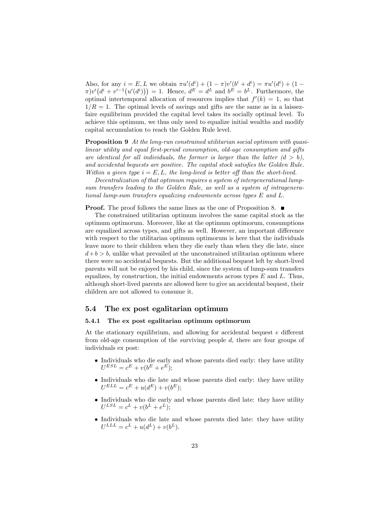Also, for any  $i = E, L$  we obtain  $\pi u'(d^i) + (1 - \pi)v'(b^i + d^i) = \pi u'(d^i) + (1 - \pi)v'(b^i)$  $\pi)v'(d^{i}+v'^{-1}(u'(d^{i})))=1.$  Hence,  $d^{E}=d^{L}$  and  $b^{E}=b^{L}$ . Furthermore, the optimal intertemporal allocation of resources implies that  $f'(k) = 1$ , so that  $1/R = 1$ . The optimal levels of savings and gifts are the same as in a laissezfaire equilibrium provided the capital level takes its socially optimal level. To achieve this optimum, we thus only need to equalize initial wealths and modify capital accumulation to reach the Golden Rule level.

Proposition 9 At the long-run constrained utilitarian social optimum with quasilinear utility and equal first-period consumption, old-age consumption and gifts are identical for all individuals, the former is larger than the latter  $(d > b)$ , and accidental bequests are positive. The capital stock satisfies the Golden Rule. Within a given type  $i = E, L$ , the long-lived is better off than the short-lived.

Decentralization of that optimum requires a system of intergenerational lumpsum transfers leading to the Golden Rule, as well as a system of intragenerational lump-sum transfers equalizing endowments across types E and L.

**Proof.** The proof follows the same lines as the one of Proposition 8.

The constrained utilitarian optimum involves the same capital stock as the optimum optimorum. Moreover, like at the optimum optimorum, consumptions are equalized across types, and gifts as well. However, an important difference with respect to the utilitarian optimum optimorum is here that the individuals leave more to their children when they die early than when they die late, since  $d + b > b$ , unlike what prevailed at the unconstrained utilitarian optimum where there were no accidental bequests. But the additional bequest left by short-lived parents will not be enjoyed by his child, since the system of lump-sum transfers equalizes, by construction, the initial endowments across types  $E$  and  $L$ . Thus, although short-lived parents are allowed here to give an accidental bequest, their children are not allowed to consume it.

### 5.4 The ex post egalitarian optimum

#### 5.4.1 The ex post egalitarian optimum optimorum

At the stationary equilibrium, and allowing for accidental bequest  $e$  different from old-age consumption of the surviving people d, there are four groups of individuals ex post:

- Individuals who die early and whose parents died early: they have utility  $U^{ESL} = c^{E} + v(b^{E} + e^{E});$
- Individuals who die late and whose parents died early: they have utility  $U^{ELL} = c^{E} + u(d^{E}) + v(b^{E});$
- Individuals who die early and whose parents died late: they have utility  $U^{LSL} = c^L + v(b^L + e^L);$
- Individuals who die late and whose parents died late: they have utility  $U^{LLL} = c^L + u(d^L) + v(b^L).$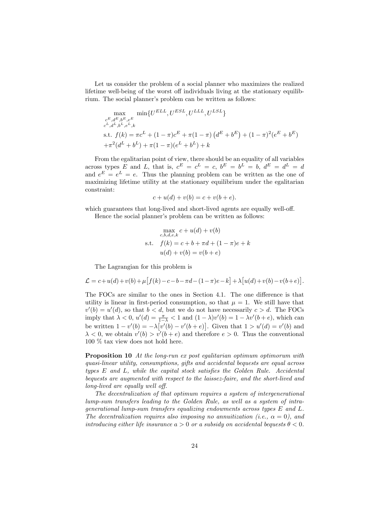Let us consider the problem of a social planner who maximizes the realized lifetime well-being of the worst off individuals living at the stationary equilibrium. The social planner's problem can be written as follows:

$$
\max_{\substack{c^E, d^E, b^E, e^E \\ c^L, d^L, b^L, e^L, k}} \min\{U^{ELL}, U^{ESL}, U^{LLL}, U^{LSL}\}\
$$
\n
$$
\text{s.t. } f(k) = \pi c^L + (1 - \pi)c^E + \pi(1 - \pi) (d^E + b^E) + (1 - \pi)^2 (e^E + b^E) + \pi^2 (d^L + b^L) + \pi (1 - \pi) (e^L + b^L) + k
$$

From the egalitarian point of view, there should be an equality of all variables across types E and L, that is,  $c^E = c^L = c$ ,  $b^E = b^L = b$ ,  $d^E = d^L = d$ and  $e^E = e^L = e$ . Thus the planning problem can be written as the one of maximizing lifetime utility at the stationary equilibrium under the egalitarian constraint:

$$
c + u(d) + v(b) = c + v(b + e).
$$

which guarantees that long-lived and short-lived agents are equally well-off.

Hence the social planner's problem can be written as follows:

$$
\max_{c,b,d,e,k} c + u(d) + v(b)
$$
  
s.t.  $f(k) = c + b + \pi d + (1 - \pi)e + k$   
 $u(d) + v(b) = v(b + e)$ 

The Lagrangian for this problem is

$$
\mathcal{L} = c + u(d) + v(b) + \mu \left[ f(k) - c - b - \pi d - (1 - \pi)e - k \right] + \lambda \left[ u(d) + v(b) - v(b + e) \right].
$$

The FOCs are similar to the ones in Section 4.1. The one difference is that utility is linear in first-period consumption, so that  $\mu = 1$ . We still have that  $v'(b) = u'(d)$ , so that  $b < d$ , but we do not have necessarily  $c > d$ . The FOCs imply that  $\lambda < 0$ ,  $u'(d) = \frac{\pi}{1-\lambda} < 1$  and  $(1-\lambda)v'(b) = 1 - \lambda v'(b+e)$ , which can be written  $1 - v'(b) = -\lambda [v'(b) - v'(b + e)].$  Given that  $1 > u'(d) = v'(b)$  and  $\lambda < 0$ , we obtain  $v'(b) > v'(b + e)$  and therefore  $e > 0$ . Thus the conventional 100 % tax view does not hold here.

Proposition 10 At the long-run ex post egalitarian optimum optimorum with quasi-linear utility, consumptions, gifts and accidental bequests are equal across types  $E$  and  $L$ , while the capital stock satisfies the Golden Rule. Accidental bequests are augmented with respect to the laissez-faire, and the short-lived and long-lived are equally well off.

The decentralization of that optimum requires a system of intergenerational lump-sum transfers leading to the Golden Rule, as well as a system of intragenerational lump-sum transfers equalizing endowments across types E and L. The decentralization requires also imposing no annuitization (i.e.,  $\alpha = 0$ ), and introducing either life insurance  $a > 0$  or a subsidy on accidental bequests  $\theta < 0$ .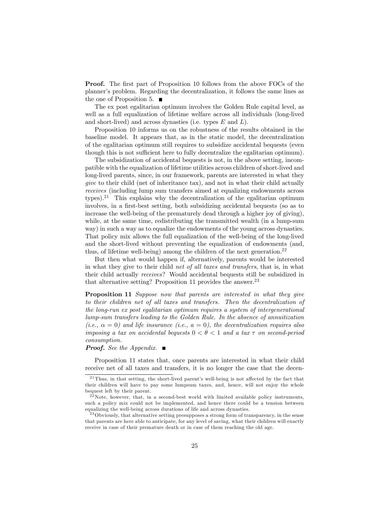**Proof.** The first part of Proposition 10 follows from the above FOCs of the planner's problem. Regarding the decentralization, it follows the same lines as the one of Proposition 5.  $\blacksquare$ 

The ex post egalitarian optimum involves the Golden Rule capital level, as well as a full equalization of lifetime welfare across all individuals (long-lived and short-lived) and across dynasties (i.e. types  $E$  and  $L$ ).

Proposition 10 informs us on the robustness of the results obtained in the baseline model. It appears that, as in the static model, the decentralization of the egalitarian optimum still requires to subsidize accidental bequests (even though this is not sufficient here to fully decentralize the egalitarian optimum).

The subsidization of accidental bequests is not, in the above setting, incompatible with the equalization of lifetime utilities across children of short-lived and long-lived parents, since, in our framework, parents are interested in what they give to their child (net of inheritance tax), and not in what their child actually receives (including lump sum transfers aimed at equalizing endowments across types).<sup>21</sup> This explains why the decentralization of the egalitarian optimum involves, in a first-best setting, both subsidizing accidental bequests (so as to increase the well-being of the prematurely dead through a higher joy of giving), while, at the same time, redistributing the transmitted wealth (in a lump-sum way) in such a way as to equalize the endowments of the young across dynasties. That policy mix allows the full equalization of the well-being of the long-lived and the short-lived without preventing the equalization of endowments (and, thus, of lifetime well-being) among the children of the next generation.<sup>22</sup>

But then what would happen if, alternatively, parents would be interested in what they give to their child net of all taxes and transfers, that is, in what their child actually receives? Would accidental bequests still be subsidized in that alternative setting? Proposition 11 provides the answer. $23$ 

Proposition 11 Suppose now that parents are interested in what they give to their children net of all taxes and transfers. Then the decentralization of the long-run ex post egalitarian optimum requires a system of intergenerational lump-sum transfers leading to the Golden Rule. In the absence of annuitization (i.e.,  $\alpha = 0$ ) and life insurance (i.e.,  $a = 0$ ), the decentralization requires also imposing a tax on accidental bequests  $0 < \theta < 1$  and a tax  $\tau$  on second-period consumption.

**Proof.** See the Appendix.  $\blacksquare$ 

Proposition 11 states that, once parents are interested in what their child receive net of all taxes and transfers, it is no longer the case that the decen-

 $^{21}$ Thus, in that setting, the short-lived parent's well-being is not affected by the fact that their children will have to pay some lumpsum taxes, and, hence, will not enjoy the whole bequest left by their parent.

 $22$ Note, however, that, in a second-best world with limited available policy instruments, such a policy mix could not be implemented, and hence there could be a tension between equalizing the well-being across durations of life and across dynasties.

<sup>&</sup>lt;sup>23</sup> Obviously, that alternative setting presupposes a strong form of transparency, in the sense that parents are here able to anticipate, for any level of saving, what their children will exactly receive in case of their premature death or in case of them reaching the old age.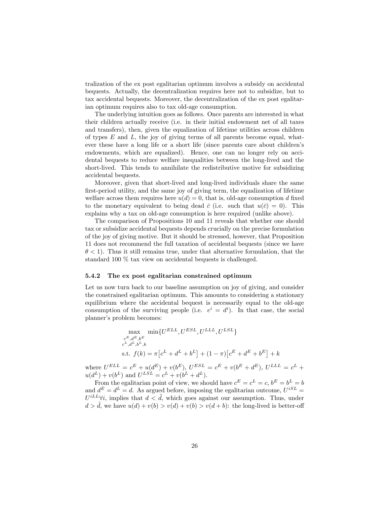tralization of the ex post egalitarian optimum involves a subsidy on accidental bequests. Actually, the decentralization requires here not to subsidize, but to tax accidental bequests. Moreover, the decentralization of the ex post egalitarian optimum requires also to tax old-age consumption.

The underlying intuition goes as follows. Once parents are interested in what their children actually receive (i.e. in their initial endowment net of all taxes and transfers), then, given the equalization of lifetime utilities across children of types  $E$  and  $L$ , the joy of giving terms of all parents become equal, whatever these have a long life or a short life (since parents care about children's endowments, which are equalized). Hence, one can no longer rely on accidental bequests to reduce welfare inequalities between the long-lived and the short-lived. This tends to annihilate the redistributive motive for subsidizing accidental bequests.

Moreover, given that short-lived and long-lived individuals share the same first-period utility, and the same joy of giving term, the equalization of lifetime welfare across them requires here  $u(d) = 0$ , that is, old-age consumption d fixed to the monetary equivalent to being dead  $\bar{c}$  (i.e. such that  $u(\bar{c}) = 0$ ). This explains why a tax on old-age consumption is here required (unlike above).

The comparison of Propositions 10 and 11 reveals that whether one should tax or subsidize accidental bequests depends crucially on the precise formulation of the joy of giving motive. But it should be stressed, however, that Proposition 11 does not recommend the full taxation of accidental bequests (since we have  $\theta$  < 1). Thus it still remains true, under that alternative formulation, that the standard 100 % tax view on accidental bequests is challenged.

#### 5.4.2 The ex post egalitarian constrained optimum

Let us now turn back to our baseline assumption on joy of giving, and consider the constrained egalitarian optimum. This amounts to considering a stationary equilibrium where the accidental bequest is necessarily equal to the old-age consumption of the surviving people (i.e.  $e^i = d^i$ ). In that case, the social planner's problem becomes:

$$
\max_{\substack{c^E, d^E, b^E \\ c^L, d^L, b^L, k}} \min\{U^{ELL}, U^{ESL}, U^{LLL}, U^{LSL}\}\
$$
\n
$$
\text{s.t. } f(k) = \pi \left[c^L + d^L + b^L\right] + (1 - \pi) \left[c^E + d^E + b^E\right] + k
$$

where  $U^{ELL} = c^{E} + u(d^{E}) + v(b^{E}), U^{ESL} = c^{E} + v(b^{E} + d^{E}), U^{LLL} = c^{L} +$  $u(d^{L}) + v(b^{L})$  and  $U^{LSL} = c^{L} + v(b^{L} + d^{L}).$ 

From the egalitarian point of view, we should have  $c^E = c^L = c$ ,  $b^E = b^L = b$ and  $d^E = d^L = d$ . As argued before, imposing the egalitarian outcome,  $U^{iSL} =$  $U^{iLL}$  $\forall i$ , implies that  $d < \tilde{d}$ , which goes against our assumption. Thus, under  $d > d$ , we have  $u(d) + v(b) > v(d) + v(b) > v(d + b)$ : the long-lived is better-off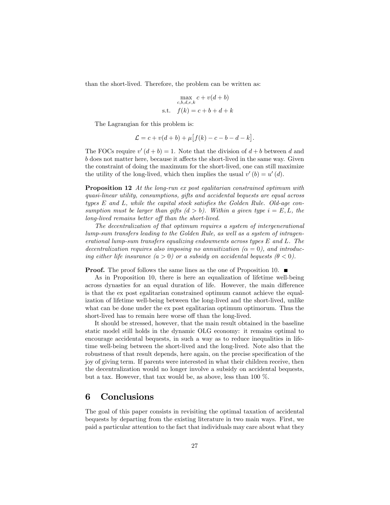than the short-lived. Therefore, the problem can be written as:

$$
\max_{c,b,d,e,k} c + v(d+b)
$$
  
s.t.  $f(k) = c + b + d + k$ 

The Lagrangian for this problem is:

$$
\mathcal{L} = c + v(d+b) + \mu \big[ f(k) - c - b - d - k \big].
$$

The FOCs require  $v'(d + b) = 1$ . Note that the division of  $d + b$  between d and  $b$  does not matter here, because it affects the short-lived in the same way. Given the constraint of doing the maximum for the short-lived, one can still maximize the utility of the long-lived, which then implies the usual  $v'(b) = u'(d)$ .

Proposition 12 At the long-run ex post egalitarian constrained optimum with quasi-linear utility, consumptions, gifts and accidental bequests are equal across types  $E$  and  $L$ , while the capital stock satisfies the Golden Rule. Old-age consumption must be larger than gifts  $(d > b)$ . Within a given type  $i = E, L$ , the long-lived remains better off than the short-lived.

The decentralization of that optimum requires a system of intergenerational lump-sum transfers leading to the Golden Rule, as well as a system of intragenerational lump-sum transfers equalizing endowments across types E and L. The decentralization requires also imposing no annuitization  $(\alpha = 0)$ , and introducing either life insurance  $(a > 0)$  or a subsidy on accidental bequests  $(0 < 0)$ .

**Proof.** The proof follows the same lines as the one of Proposition 10.  $\blacksquare$ 

As in Proposition 10, there is here an equalization of lifetime well-being across dynasties for an equal duration of life. However, the main difference is that the ex post egalitarian constrained optimum cannot achieve the equalization of lifetime well-being between the long-lived and the short-lived, unlike what can be done under the ex post egalitarian optimum optimorum. Thus the short-lived has to remain here worse off than the long-lived.

It should be stressed, however, that the main result obtained in the baseline static model still holds in the dynamic OLG economy: it remains optimal to encourage accidental bequests, in such a way as to reduce inequalities in lifetime well-being between the short-lived and the long-lived. Note also that the robustness of that result depends, here again, on the precise specification of the joy of giving term. If parents were interested in what their children receive, then the decentralization would no longer involve a subsidy on accidental bequests, but a tax. However, that tax would be, as above, less than 100 %.

### 6 Conclusions

The goal of this paper consists in revisiting the optimal taxation of accidental bequests by departing from the existing literature in two main ways. First, we paid a particular attention to the fact that individuals may care about what they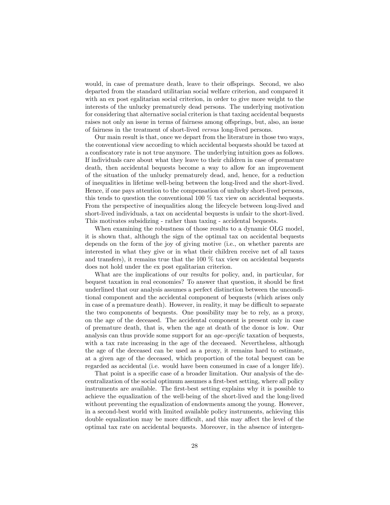would, in case of premature death, leave to their offsprings. Second, we also departed from the standard utilitarian social welfare criterion, and compared it with an ex post egalitarian social criterion, in order to give more weight to the interests of the unlucky prematurely dead persons. The underlying motivation for considering that alternative social criterion is that taxing accidental bequests raises not only an issue in terms of fairness among offsprings, but, also, an issue of fairness in the treatment of short-lived versus long-lived persons.

Our main result is that, once we depart from the literature in those two ways, the conventional view according to which accidental bequests should be taxed at a confiscatory rate is not true anymore. The underlying intuition goes as follows. If individuals care about what they leave to their children in case of premature death, then accidental bequests become a way to allow for an improvement of the situation of the unlucky prematurely dead, and, hence, for a reduction of inequalities in lifetime well-being between the long-lived and the short-lived. Hence, if one pays attention to the compensation of unlucky short-lived persons, this tends to question the conventional 100 % tax view on accidental bequests. From the perspective of inequalities along the lifecycle between long-lived and short-lived individuals, a tax on accidental bequests is unfair to the short-lived. This motivates subsidizing - rather than taxing - accidental bequests.

When examining the robustness of those results to a dynamic OLG model, it is shown that, although the sign of the optimal tax on accidental bequests depends on the form of the joy of giving motive (i.e., on whether parents are interested in what they give or in what their children receive net of all taxes and transfers), it remains true that the  $100\%$  tax view on accidental bequests does not hold under the ex post egalitarian criterion.

What are the implications of our results for policy, and, in particular, for bequest taxation in real economies? To answer that question, it should be first underlined that our analysis assumes a perfect distinction between the unconditional component and the accidental component of bequests (which arises only in case of a premature death). However, in reality, it may be difficult to separate the two components of bequests. One possibility may be to rely, as a proxy, on the age of the deceased. The accidental component is present only in case of premature death, that is, when the age at death of the donor is low. Our analysis can thus provide some support for an  $age-specific$  taxation of bequests, with a tax rate increasing in the age of the deceased. Nevertheless, although the age of the deceased can be used as a proxy, it remains hard to estimate, at a given age of the deceased, which proportion of the total bequest can be regarded as accidental (i.e. would have been consumed in case of a longer life).

That point is a specific case of a broader limitation. Our analysis of the decentralization of the social optimum assumes a first-best setting, where all policy instruments are available. The first-best setting explains why it is possible to achieve the equalization of the well-being of the short-lived and the long-lived without preventing the equalization of endowments among the young. However, in a second-best world with limited available policy instruments, achieving this double equalization may be more difficult, and this may affect the level of the optimal tax rate on accidental bequests. Moreover, in the absence of intergen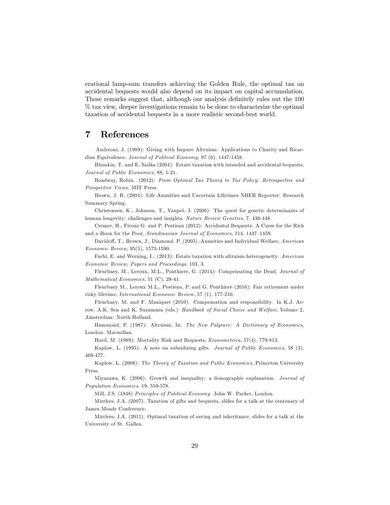erational lump-sum transfers achieving the Golden Rule, the optimal tax on accidental bequests would also depend on its impact on capital accumulation. Those remarks suggest that, although our analysis definitely rules out the 100 % tax view, deeper investigations remain to be done to characterize the optimal taxation of accidental bequests in a more realistic second-best world.

### 7 References

Andreoni, J. (1989): Giving with Impure Altruism: Applications to Charity and Ricardian Equivalence, Journal of Political Economy, 97 (6), 1447-1458.

Blumkin, T. and E. Sadka (2004): Estate taxation with intended and accidental bequests, Journal of Public Economics, 88, 1-21.

Boadway, Robin. (2012): From Optimal Tax Theory to Tax Policy: Retrospective and Prospective Views. MIT Press.

Brown, J. R. (2004): Life Annuities and Uncertain Lifetimes NBER Reporter: Research Summary Spring.

Christensen, K., Johnson, T., Vaupel, J. (2006): The quest for genetic determinants of human longevity: challenges and insights. Nature Review Genetics, 7, 436-448.

Cremer, H., Firouz G. and P. Pestieau (2012): Accidental Bequests: A Curse for the Rich and a Boon for the Poor, Scandinavian Journal of Economics, 114, 1437–1459.

Davidoff, T., Brown, J., Diamond, P. (2005) :Annuities and Individual Welfare, American Economic Review, 95(5), 1573-1590.

Farhi, E. and Werning, I.. (2013): Estate taxation with altruism heterogeneity. American Economic Review, Papers and Proceedings, 103, 3.

Fleurbaey, M., Leroux, M.L., Ponthiere, G. (2014): Compensating the Dead, Journal of Mathematical Economics, 51 (C), 28-41.

Fleurbaey M., Leroux M.L., Pestieau, P. and G. Ponthiere (2016): Fair retirement under risky lifetime, International Economic Review, 57 (1), 177-210.

Fleurbaey, M. and F. Maniquet (2010). Compensation and responsibility. In K.J. Arrow, A.K. Sen and K. Suzumura (eds.) Handbook of Social Choice and Welfare, Volume 2, Amsterdam: North-Holland.

Hammond, P. (1987): Altruism, In: The New Palgrave: A Dictionary of Economics, London: Macmillan.

Hurd, M. (1989): Mortality Risk and Bequests, Econometrica, 57(4), 779-813.

Kaplow, L. (1995): A note on subsidizing gifts. Journal of Public Economics, 58 (3), 469-477.

Kaplow, L. (2008): The Theory of Taxation and Public Economics, Princeton University Press.

Miyazawa, K. (2006): Growth and inequality: a demographic explanation. Journal of Population Economics, 19, 559-578.

Mill, J.S. (1848) Principles of Political Economy. John W. Parker, London.

Mirrlees, J.A. (2007). Taxation of gifts and bequests, slides for a talk at the centenary of James Meade Conference.

Mirrlees, J.A. (2011). Optimal taxation of saving and inheritance, slides for a talk at the University of St. Gallen.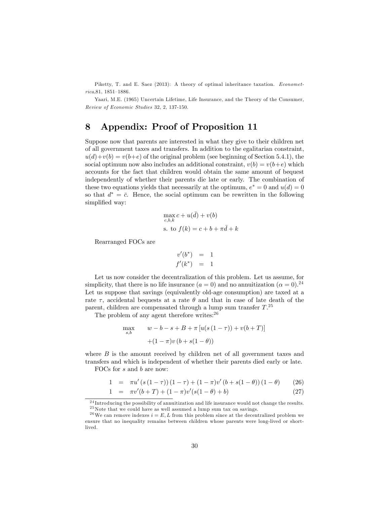Piketty, T. and E. Saez (2013): A theory of optimal inheritance taxation. Economet $rica, 81, 1851-1886.$ 

Yaari, M.E. (1965) Uncertain Lifetime, Life Insurance, and the Theory of the Consumer, Review of Economic Studies 32, 2, 137-150.

### 8 Appendix: Proof of Proposition 11

Suppose now that parents are interested in what they give to their children net of all government taxes and transfers. In addition to the egalitarian constraint,  $u(d)+v(b) = v(b+e)$  of the original problem (see beginning of Section 5.4.1), the social optimum now also includes an additional constraint,  $v(b) = v(b+e)$  which accounts for the fact that children would obtain the same amount of bequest independently of whether their parents die late or early. The combination of these two equations yields that necessarily at the optimum,  $e^* = 0$  and  $u(d) = 0$ so that  $d^* = \bar{c}$ . Hence, the social optimum can be rewritten in the following simplified way:

$$
\max_{c,b,k} c + u(\bar{d}) + v(b)
$$
  
s. to  $f(k) = c + b + \pi \bar{d} + k$ 

Rearranged FOCs are

$$
\begin{array}{rcl} v'(b^*) & = & 1 \\ f'(k^*) & = & 1 \end{array}
$$

Let us now consider the decentralization of this problem. Let us assume, for simplicity, that there is no life insurance  $(a = 0)$  and no annuitization  $(\alpha = 0)^{24}$ Let us suppose that savings (equivalently old-age consumption) are taxed at a rate  $\tau$ , accidental bequests at a rate  $\theta$  and that in case of late death of the parent, children are compensated through a lump sum transfer  $T.^{25}$ 

The problem of any agent therefore writes:<sup>26</sup>

$$
\max_{s,b} \qquad w - b - s + B + \pi \left[ u(s(1 - \tau)) + v(b + T) \right] + (1 - \pi)v(b + s(1 - \theta))
$$

where  $B$  is the amount received by children net of all government taxes and transfers and which is independent of whether their parents died early or late. FOCs for s and b are now:

1 = 
$$
\pi u'(s(1-\tau))(1-\tau) + (1-\pi)v'(b+s(1-\theta))(1-\theta)
$$
 (26)

$$
1 = \pi v'(b+T) + (1-\pi)v'(s(1-\theta) + b)
$$
\n(27)

<sup>24</sup> Introducing the possibility of annuitization and life insurance would not change the results. <sup>25</sup>Note that we could have as well assumed a lump sum tax on savings.

<sup>&</sup>lt;sup>26</sup>We can remove indexes  $i = E, L$  from this problem since at the decentralized problem we ensure that no inequality remains between children whose parents were long-lived or shortlived.